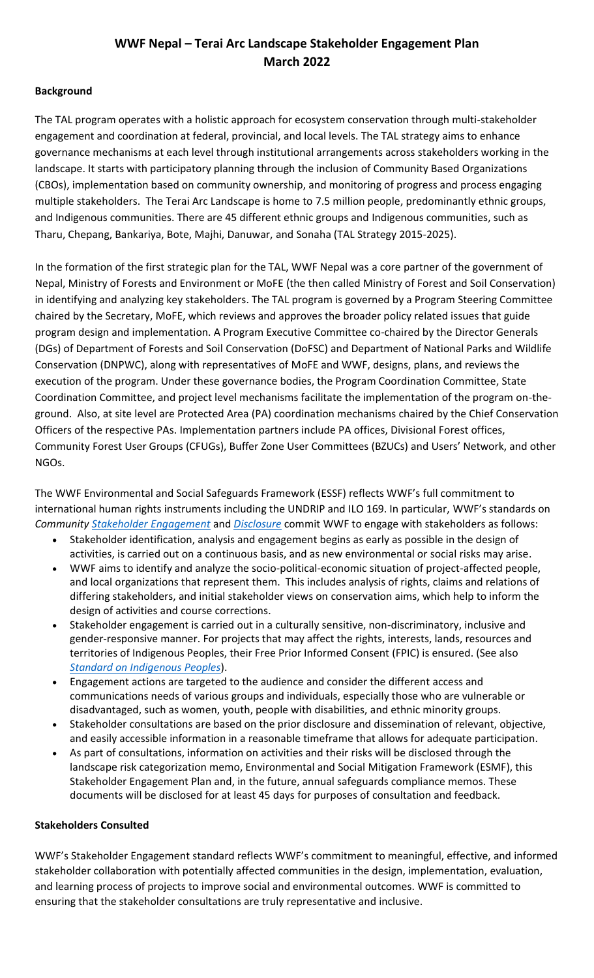## **WWF Nepal – Terai Arc Landscape Stakeholder Engagement Plan March 2022**

## **Background**

The TAL program operates with a holistic approach for ecosystem conservation through multi-stakeholder engagement and coordination at federal, provincial, and local levels. The TAL strategy aims to enhance governance mechanisms at each level through institutional arrangements across stakeholders working in the landscape. It starts with participatory planning through the inclusion of Community Based Organizations (CBOs), implementation based on community ownership, and monitoring of progress and process engaging multiple stakeholders. The Terai Arc Landscape is home to 7.5 million people, predominantly ethnic groups, and Indigenous communities. There are 45 different ethnic groups and Indigenous communities, such as Tharu, Chepang, Bankariya, Bote, Majhi, Danuwar, and Sonaha (TAL Strategy 2015-2025).

In the formation of the first strategic plan for the TAL, WWF Nepal was a core partner of the government of Nepal, Ministry of Forests and Environment or MoFE (the then called Ministry of Forest and Soil Conservation) in identifying and analyzing key stakeholders. The TAL program is governed by a Program Steering Committee chaired by the Secretary, MoFE, which reviews and approves the broader policy related issues that guide program design and implementation. A Program Executive Committee co-chaired by the Director Generals (DGs) of Department of Forests and Soil Conservation (DoFSC) and Department of National Parks and Wildlife Conservation (DNPWC), along with representatives of MoFE and WWF, designs, plans, and reviews the execution of the program. Under these governance bodies, the Program Coordination Committee, State Coordination Committee, and project level mechanisms facilitate the implementation of the program on-theground. Also, at site level are Protected Area (PA) coordination mechanisms chaired by the Chief Conservation Officers of the respective PAs. Implementation partners include PA offices, Divisional Forest offices, Community Forest User Groups (CFUGs), Buffer Zone User Committees (BZUCs) and Users' Network, and other NGOs.

The WWF Environmental and Social Safeguards Framework (ESSF) reflects WWF's full commitment to international human rights instruments including the UNDRIP and ILO 169. In particular, WWF's standards on *Community [Stakeholder Engagement](https://drive.google.com/file/d/19_DSrerq0xtCq3a-qqKkFVUoIuThjDGG/view)* and *[Disclosure](https://sites.google.com/wwfus.org/safeguardstaskforce/public-consultation-and-disclosure)* commit WWF to engage with stakeholders as follows:

- Stakeholder identification, analysis and engagement begins as early as possible in the design of activities, is carried out on a continuous basis, and as new environmental or social risks may arise.
- WWF aims to identify and analyze the socio-political-economic situation of project-affected people, and local organizations that represent them. This includes analysis of rights, claims and relations of differing stakeholders, and initial stakeholder views on conservation aims, which help to inform the design of activities and course corrections.
- Stakeholder engagement is carried out in a culturally sensitive, non-discriminatory, inclusive and gender-responsive manner. For projects that may affect the rights, interests, lands, resources and territories of Indigenous Peoples, their Free Prior Informed Consent (FPIC) is ensured. (See also *Standard on [Indigenous Peoples](https://sites.google.com/wwfus.org/safeguardstaskforce/indigenous-peoples)*).
- Engagement actions are targeted to the audience and consider the different access and communications needs of various groups and individuals, especially those who are vulnerable or disadvantaged, such as women, youth, people with disabilities, and ethnic minority groups.
- Stakeholder consultations are based on the prior disclosure and dissemination of relevant, objective, and easily accessible information in a reasonable timeframe that allows for adequate participation.
- As part of consultations, information on activities and their risks will be disclosed through the landscape risk categorization memo, Environmental and Social Mitigation Framework (ESMF), this Stakeholder Engagement Plan and, in the future, annual safeguards compliance memos. These documents will be disclosed for at least 45 days for purposes of consultation and feedback.

## **Stakeholders Consulted**

WWF's Stakeholder Engagement standard reflects WWF's commitment to meaningful, effective, and informed stakeholder collaboration with potentially affected communities in the design, implementation, evaluation, and learning process of projects to improve social and environmental outcomes. WWF is committed to ensuring that the stakeholder consultations are truly representative and inclusive.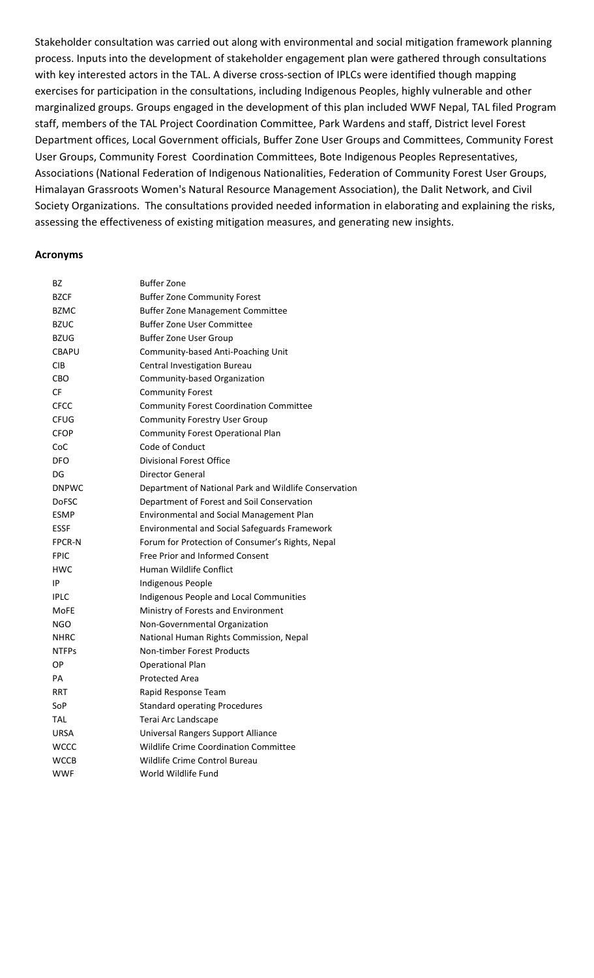Stakeholder consultation was carried out along with environmental and social mitigation framework planning process. Inputs into the development of stakeholder engagement plan were gathered through consultations with key interested actors in the TAL. A diverse cross-section of IPLCs were identified though mapping exercises for participation in the consultations, including Indigenous Peoples, highly vulnerable and other marginalized groups. Groups engaged in the development of this plan included WWF Nepal, TAL filed Program staff, members of the TAL Project Coordination Committee, Park Wardens and staff, District level Forest Department offices, Local Government officials, Buffer Zone User Groups and Committees, Community Forest User Groups, Community Forest Coordination Committees, Bote Indigenous Peoples Representatives, Associations (National Federation of Indigenous Nationalities, Federation of Community Forest User Groups, Himalayan Grassroots Women's Natural Resource Management Association), the Dalit Network, and Civil Society Organizations. The consultations provided needed information in elaborating and explaining the risks, assessing the effectiveness of existing mitigation measures, and generating new insights.

#### **Acronyms**

| BZ            | <b>Buffer Zone</b>                                    |
|---------------|-------------------------------------------------------|
| <b>BZCF</b>   | <b>Buffer Zone Community Forest</b>                   |
| <b>BZMC</b>   | <b>Buffer Zone Management Committee</b>               |
| <b>BZUC</b>   | <b>Buffer Zone User Committee</b>                     |
| <b>BZUG</b>   | <b>Buffer Zone User Group</b>                         |
| <b>CBAPU</b>  | Community-based Anti-Poaching Unit                    |
| CIB           | Central Investigation Bureau                          |
| CBO           | Community-based Organization                          |
| CF            | <b>Community Forest</b>                               |
| <b>CFCC</b>   | <b>Community Forest Coordination Committee</b>        |
| <b>CFUG</b>   | <b>Community Forestry User Group</b>                  |
| <b>CFOP</b>   | Community Forest Operational Plan                     |
| CoC           | Code of Conduct                                       |
| <b>DFO</b>    | <b>Divisional Forest Office</b>                       |
| DG            | <b>Director General</b>                               |
| <b>DNPWC</b>  | Department of National Park and Wildlife Conservation |
| <b>DoFSC</b>  | Department of Forest and Soil Conservation            |
| <b>ESMP</b>   | <b>Environmental and Social Management Plan</b>       |
| <b>ESSF</b>   | <b>Environmental and Social Safeguards Framework</b>  |
| <b>FPCR-N</b> | Forum for Protection of Consumer's Rights, Nepal      |
| <b>FPIC</b>   | Free Prior and Informed Consent                       |
| <b>HWC</b>    | Human Wildlife Conflict                               |
| IP            | Indigenous People                                     |
| <b>IPLC</b>   | Indigenous People and Local Communities               |
| MoFE          | Ministry of Forests and Environment                   |
| <b>NGO</b>    | Non-Governmental Organization                         |
| <b>NHRC</b>   | National Human Rights Commission, Nepal               |
| <b>NTFPs</b>  | <b>Non-timber Forest Products</b>                     |
| <b>OP</b>     | <b>Operational Plan</b>                               |
| PA            | <b>Protected Area</b>                                 |
| RRT           | Rapid Response Team                                   |
| SoP           | <b>Standard operating Procedures</b>                  |
| TAL           | Terai Arc Landscape                                   |
| <b>URSA</b>   | Universal Rangers Support Alliance                    |
| <b>WCCC</b>   | Wildlife Crime Coordination Committee                 |
| <b>WCCB</b>   | Wildlife Crime Control Bureau                         |
| <b>WWF</b>    | World Wildlife Fund                                   |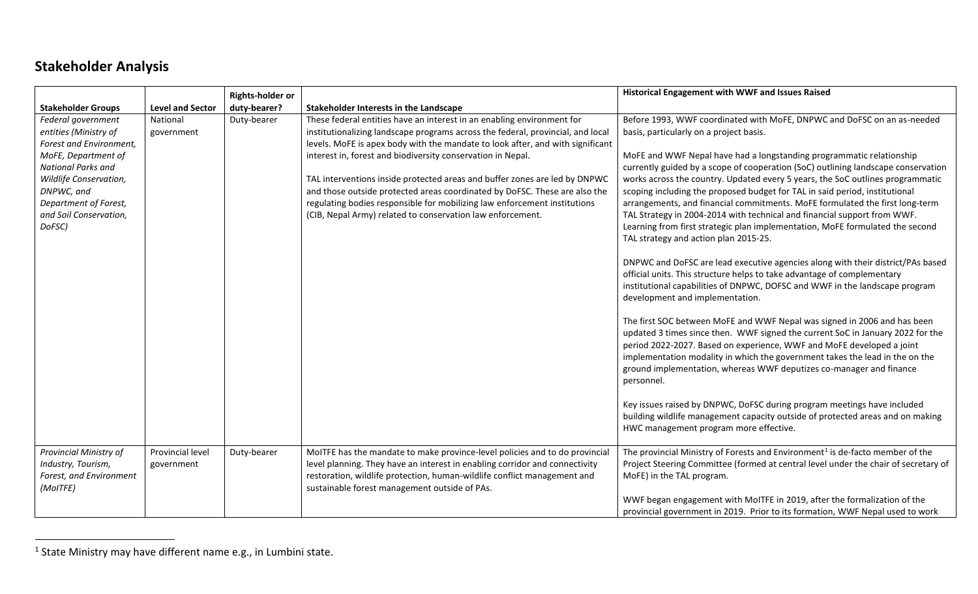# **Stakeholder Analysis**

|                                                                                                                                                                                                                          |                                | <b>Rights-holder or</b> |                                                                                                                                                                                                                                                                                                                                                                                                                                                                                                                                                                                                                   | Historical Engagement with WWF and Issues Raised                                                                                                                                                                                                                                                                                                                                                                                                                                                                                                                                                                                                                                                                                                                                                                                                                                                                                                                                                                                                                                                                                                                                                                                                                                                                                                                                                                                                                                                                                                                                                                                          |
|--------------------------------------------------------------------------------------------------------------------------------------------------------------------------------------------------------------------------|--------------------------------|-------------------------|-------------------------------------------------------------------------------------------------------------------------------------------------------------------------------------------------------------------------------------------------------------------------------------------------------------------------------------------------------------------------------------------------------------------------------------------------------------------------------------------------------------------------------------------------------------------------------------------------------------------|-------------------------------------------------------------------------------------------------------------------------------------------------------------------------------------------------------------------------------------------------------------------------------------------------------------------------------------------------------------------------------------------------------------------------------------------------------------------------------------------------------------------------------------------------------------------------------------------------------------------------------------------------------------------------------------------------------------------------------------------------------------------------------------------------------------------------------------------------------------------------------------------------------------------------------------------------------------------------------------------------------------------------------------------------------------------------------------------------------------------------------------------------------------------------------------------------------------------------------------------------------------------------------------------------------------------------------------------------------------------------------------------------------------------------------------------------------------------------------------------------------------------------------------------------------------------------------------------------------------------------------------------|
| <b>Stakeholder Groups</b>                                                                                                                                                                                                | <b>Level and Sector</b>        | duty-bearer?            | Stakeholder Interests in the Landscape                                                                                                                                                                                                                                                                                                                                                                                                                                                                                                                                                                            |                                                                                                                                                                                                                                                                                                                                                                                                                                                                                                                                                                                                                                                                                                                                                                                                                                                                                                                                                                                                                                                                                                                                                                                                                                                                                                                                                                                                                                                                                                                                                                                                                                           |
| Federal government<br>entities (Ministry of<br>Forest and Environment,<br>MoFE, Department of<br>National Parks and<br>Wildlife Conservation,<br>DNPWC, and<br>Department of Forest,<br>and Soil Conservation,<br>DoFSC) | National<br>government         | Duty-bearer             | These federal entities have an interest in an enabling environment for<br>institutionalizing landscape programs across the federal, provincial, and local<br>levels. MoFE is apex body with the mandate to look after, and with significant<br>interest in, forest and biodiversity conservation in Nepal.<br>TAL interventions inside protected areas and buffer zones are led by DNPWC<br>and those outside protected areas coordinated by DoFSC. These are also the<br>regulating bodies responsible for mobilizing law enforcement institutions<br>(CIB, Nepal Army) related to conservation law enforcement. | Before 1993, WWF coordinated with MoFE, DNPWC and DoFSC on an as-needed<br>basis, particularly on a project basis.<br>MoFE and WWF Nepal have had a longstanding programmatic relationship<br>currently guided by a scope of cooperation (SoC) outlining landscape conservation<br>works across the country. Updated every 5 years, the SoC outlines programmatic<br>scoping including the proposed budget for TAL in said period, institutional<br>arrangements, and financial commitments. MoFE formulated the first long-term<br>TAL Strategy in 2004-2014 with technical and financial support from WWF.<br>Learning from first strategic plan implementation, MoFE formulated the second<br>TAL strategy and action plan 2015-25.<br>DNPWC and DoFSC are lead executive agencies along with their district/PAs based<br>official units. This structure helps to take advantage of complementary<br>institutional capabilities of DNPWC, DOFSC and WWF in the landscape program<br>development and implementation.<br>The first SOC between MoFE and WWF Nepal was signed in 2006 and has been<br>updated 3 times since then. WWF signed the current SoC in January 2022 for the<br>period 2022-2027. Based on experience, WWF and MoFE developed a joint<br>implementation modality in which the government takes the lead in the on the<br>ground implementation, whereas WWF deputizes co-manager and finance<br>personnel.<br>Key issues raised by DNPWC, DoFSC during program meetings have included<br>building wildlife management capacity outside of protected areas and on making<br>HWC management program more effective. |
| Provincial Ministry of<br>Industry, Tourism,<br>Forest, and Environment<br>(MoITFE)                                                                                                                                      | Provincial level<br>government | Duty-bearer             | MoITFE has the mandate to make province-level policies and to do provincial<br>level planning. They have an interest in enabling corridor and connectivity<br>restoration, wildlife protection, human-wildlife conflict management and<br>sustainable forest management outside of PAs.                                                                                                                                                                                                                                                                                                                           | The provincial Ministry of Forests and Environment <sup>1</sup> is de-facto member of the<br>Project Steering Committee (formed at central level under the chair of secretary of<br>MoFE) in the TAL program.<br>WWF began engagement with MoITFE in 2019, after the formalization of the<br>provincial government in 2019. Prior to its formation, WWF Nepal used to work                                                                                                                                                                                                                                                                                                                                                                                                                                                                                                                                                                                                                                                                                                                                                                                                                                                                                                                                                                                                                                                                                                                                                                                                                                                                |

 $^1$  State Ministry may have different name e.g., in Lumbini state.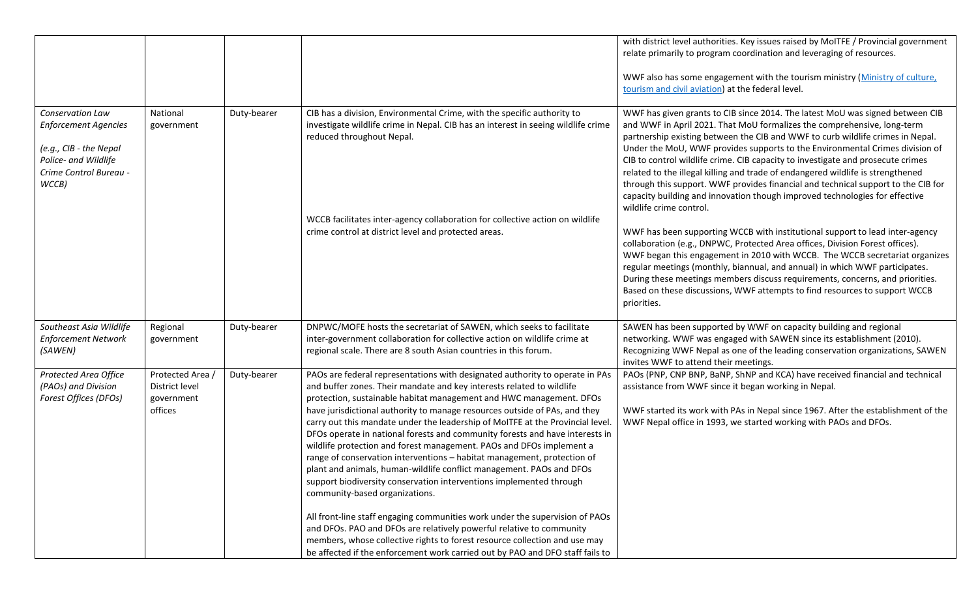|                                                                                                                                      |                                                                       |                                                             |             |                                                                                                                                                                                                                                                                                                                                                                                                                                                                                                                                                                                                                                                                                                                                                                                                                  | with district level authorities. Key issues raised by MoITFE / Provincial government<br>relate primarily to program coordination and leveraging of resources.<br>WWF also has some engagement with the tourism ministry (Ministry of culture,<br>tourism and civil aviation) at the federal level.                                                                                                                                                                                                                                                                                                                                                                                              |
|--------------------------------------------------------------------------------------------------------------------------------------|-----------------------------------------------------------------------|-------------------------------------------------------------|-------------|------------------------------------------------------------------------------------------------------------------------------------------------------------------------------------------------------------------------------------------------------------------------------------------------------------------------------------------------------------------------------------------------------------------------------------------------------------------------------------------------------------------------------------------------------------------------------------------------------------------------------------------------------------------------------------------------------------------------------------------------------------------------------------------------------------------|-------------------------------------------------------------------------------------------------------------------------------------------------------------------------------------------------------------------------------------------------------------------------------------------------------------------------------------------------------------------------------------------------------------------------------------------------------------------------------------------------------------------------------------------------------------------------------------------------------------------------------------------------------------------------------------------------|
| Conservation Law<br><b>Enforcement Agencies</b><br>(e.g., CIB - the Nepal<br>Police- and Wildlife<br>Crime Control Bureau -<br>WCCB) |                                                                       | National<br>government                                      | Duty-bearer | CIB has a division, Environmental Crime, with the specific authority to<br>investigate wildlife crime in Nepal. CIB has an interest in seeing wildlife crime<br>reduced throughout Nepal.                                                                                                                                                                                                                                                                                                                                                                                                                                                                                                                                                                                                                        | WWF has given grants to CIB since 2014. The latest MoU was signed between CIB<br>and WWF in April 2021. That MoU formalizes the comprehensive, long-term<br>partnership existing between the CIB and WWF to curb wildlife crimes in Nepal.<br>Under the MoU, WWF provides supports to the Environmental Crimes division of<br>CIB to control wildlife crime. CIB capacity to investigate and prosecute crimes<br>related to the illegal killing and trade of endangered wildlife is strengthened<br>through this support. WWF provides financial and technical support to the CIB for<br>capacity building and innovation though improved technologies for effective<br>wildlife crime control. |
|                                                                                                                                      |                                                                       |                                                             |             | WCCB facilitates inter-agency collaboration for collective action on wildlife<br>crime control at district level and protected areas.                                                                                                                                                                                                                                                                                                                                                                                                                                                                                                                                                                                                                                                                            | WWF has been supporting WCCB with institutional support to lead inter-agency<br>collaboration (e.g., DNPWC, Protected Area offices, Division Forest offices).<br>WWF began this engagement in 2010 with WCCB. The WCCB secretariat organizes<br>regular meetings (monthly, biannual, and annual) in which WWF participates.<br>During these meetings members discuss requirements, concerns, and priorities.<br>Based on these discussions, WWF attempts to find resources to support WCCB<br>priorities.                                                                                                                                                                                       |
|                                                                                                                                      | Southeast Asia Wildlife<br><b>Enforcement Network</b><br>(SAWEN)      | Regional<br>government                                      | Duty-bearer | DNPWC/MOFE hosts the secretariat of SAWEN, which seeks to facilitate<br>inter-government collaboration for collective action on wildlife crime at<br>regional scale. There are 8 south Asian countries in this forum.                                                                                                                                                                                                                                                                                                                                                                                                                                                                                                                                                                                            | SAWEN has been supported by WWF on capacity building and regional<br>networking. WWF was engaged with SAWEN since its establishment (2010).<br>Recognizing WWF Nepal as one of the leading conservation organizations, SAWEN<br>invites WWF to attend their meetings.                                                                                                                                                                                                                                                                                                                                                                                                                           |
|                                                                                                                                      | Protected Area Office<br>(PAOs) and Division<br>Forest Offices (DFOs) | Protected Area /<br>District level<br>government<br>offices | Duty-bearer | PAOs are federal representations with designated authority to operate in PAs<br>and buffer zones. Their mandate and key interests related to wildlife<br>protection, sustainable habitat management and HWC management. DFOs<br>have jurisdictional authority to manage resources outside of PAs, and they<br>carry out this mandate under the leadership of MoITFE at the Provincial level.<br>DFOs operate in national forests and community forests and have interests in<br>wildlife protection and forest management. PAOs and DFOs implement a<br>range of conservation interventions - habitat management, protection of<br>plant and animals, human-wildlife conflict management. PAOs and DFOs<br>support biodiversity conservation interventions implemented through<br>community-based organizations. | PAOs (PNP, CNP BNP, BaNP, ShNP and KCA) have received financial and technical<br>assistance from WWF since it began working in Nepal.<br>WWF started its work with PAs in Nepal since 1967. After the establishment of the<br>WWF Nepal office in 1993, we started working with PAOs and DFOs.                                                                                                                                                                                                                                                                                                                                                                                                  |
|                                                                                                                                      |                                                                       |                                                             |             | All front-line staff engaging communities work under the supervision of PAOs<br>and DFOs. PAO and DFOs are relatively powerful relative to community<br>members, whose collective rights to forest resource collection and use may<br>be affected if the enforcement work carried out by PAO and DFO staff fails to                                                                                                                                                                                                                                                                                                                                                                                                                                                                                              |                                                                                                                                                                                                                                                                                                                                                                                                                                                                                                                                                                                                                                                                                                 |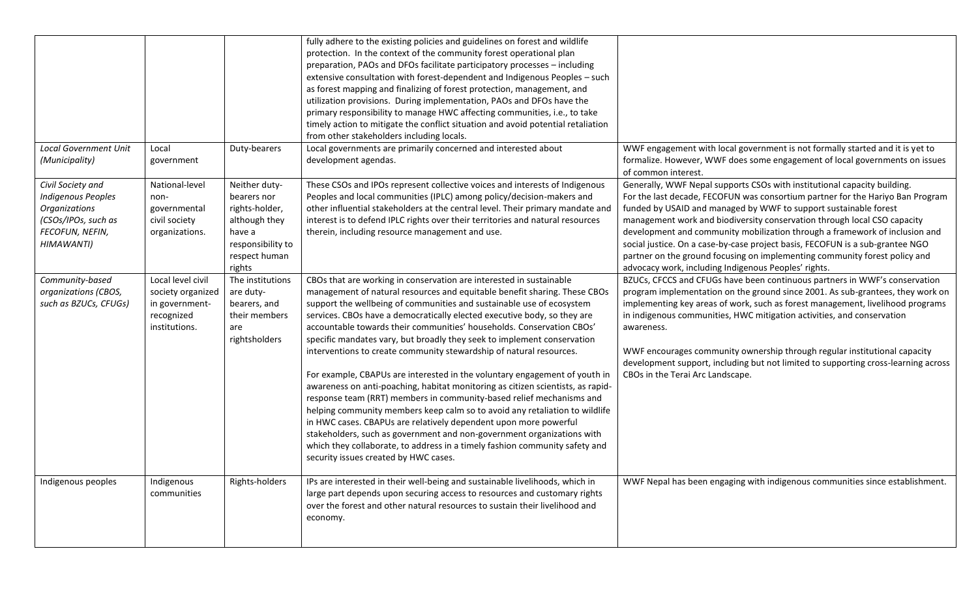|                                                                                                                         |                                                                                         |                                                                                                                           | fully adhere to the existing policies and guidelines on forest and wildlife<br>protection. In the context of the community forest operational plan<br>preparation, PAOs and DFOs facilitate participatory processes - including<br>extensive consultation with forest-dependent and Indigenous Peoples - such<br>as forest mapping and finalizing of forest protection, management, and<br>utilization provisions. During implementation, PAOs and DFOs have the<br>primary responsibility to manage HWC affecting communities, i.e., to take<br>timely action to mitigate the conflict situation and avoid potential retaliation<br>from other stakeholders including locals.                                                                                                                                                                                                                                                                                                                                                                                                                                                 |                                                                                                                                                                                                                                                                                                                                                                                                                                                                                                                                                                                                                  |
|-------------------------------------------------------------------------------------------------------------------------|-----------------------------------------------------------------------------------------|---------------------------------------------------------------------------------------------------------------------------|--------------------------------------------------------------------------------------------------------------------------------------------------------------------------------------------------------------------------------------------------------------------------------------------------------------------------------------------------------------------------------------------------------------------------------------------------------------------------------------------------------------------------------------------------------------------------------------------------------------------------------------------------------------------------------------------------------------------------------------------------------------------------------------------------------------------------------------------------------------------------------------------------------------------------------------------------------------------------------------------------------------------------------------------------------------------------------------------------------------------------------|------------------------------------------------------------------------------------------------------------------------------------------------------------------------------------------------------------------------------------------------------------------------------------------------------------------------------------------------------------------------------------------------------------------------------------------------------------------------------------------------------------------------------------------------------------------------------------------------------------------|
| <b>Local Government Unit</b><br>(Municipality)                                                                          | Local<br>government                                                                     | Duty-bearers                                                                                                              | Local governments are primarily concerned and interested about<br>development agendas.                                                                                                                                                                                                                                                                                                                                                                                                                                                                                                                                                                                                                                                                                                                                                                                                                                                                                                                                                                                                                                         | WWF engagement with local government is not formally started and it is yet to<br>formalize. However, WWF does some engagement of local governments on issues<br>of common interest.                                                                                                                                                                                                                                                                                                                                                                                                                              |
| Civil Society and<br><b>Indigenous Peoples</b><br>Organizations<br>(CSOs/IPOs, such as<br>FECOFUN, NEFIN,<br>HIMAWANTI) | National-level<br>non-<br>governmental<br>civil society<br>organizations.               | Neither duty-<br>bearers nor<br>rights-holder,<br>although they<br>have a<br>responsibility to<br>respect human<br>rights | These CSOs and IPOs represent collective voices and interests of Indigenous<br>Peoples and local communities (IPLC) among policy/decision-makers and<br>other influential stakeholders at the central level. Their primary mandate and<br>interest is to defend IPLC rights over their territories and natural resources<br>therein, including resource management and use.                                                                                                                                                                                                                                                                                                                                                                                                                                                                                                                                                                                                                                                                                                                                                    | Generally, WWF Nepal supports CSOs with institutional capacity building.<br>For the last decade, FECOFUN was consortium partner for the Hariyo Ban Program<br>funded by USAID and managed by WWF to support sustainable forest<br>management work and biodiversity conservation through local CSO capacity<br>development and community mobilization through a framework of inclusion and<br>social justice. On a case-by-case project basis, FECOFUN is a sub-grantee NGO<br>partner on the ground focusing on implementing community forest policy and<br>advocacy work, including Indigenous Peoples' rights. |
| Community-based<br>organizations (CBOS,<br>such as BZUCs, CFUGs)                                                        | Local level civil<br>society organized<br>in government-<br>recognized<br>institutions. | The institutions<br>are duty-<br>bearers, and<br>their members<br>are<br>rightsholders                                    | CBOs that are working in conservation are interested in sustainable<br>management of natural resources and equitable benefit sharing. These CBOs<br>support the wellbeing of communities and sustainable use of ecosystem<br>services. CBOs have a democratically elected executive body, so they are<br>accountable towards their communities' households. Conservation CBOs'<br>specific mandates vary, but broadly they seek to implement conservation<br>interventions to create community stewardship of natural resources.<br>For example, CBAPUs are interested in the voluntary engagement of youth in<br>awareness on anti-poaching, habitat monitoring as citizen scientists, as rapid-<br>response team (RRT) members in community-based relief mechanisms and<br>helping community members keep calm so to avoid any retaliation to wildlife<br>in HWC cases. CBAPUs are relatively dependent upon more powerful<br>stakeholders, such as government and non-government organizations with<br>which they collaborate, to address in a timely fashion community safety and<br>security issues created by HWC cases. | BZUCs, CFCCS and CFUGs have been continuous partners in WWF's conservation<br>program implementation on the ground since 2001. As sub-grantees, they work on<br>implementing key areas of work, such as forest management, livelihood programs<br>in indigenous communities, HWC mitigation activities, and conservation<br>awareness.<br>WWF encourages community ownership through regular institutional capacity<br>development support, including but not limited to supporting cross-learning across<br>CBOs in the Terai Arc Landscape.                                                                    |
| Indigenous peoples                                                                                                      | Indigenous<br>communities                                                               | Rights-holders                                                                                                            | IPs are interested in their well-being and sustainable livelihoods, which in<br>large part depends upon securing access to resources and customary rights<br>over the forest and other natural resources to sustain their livelihood and<br>economy.                                                                                                                                                                                                                                                                                                                                                                                                                                                                                                                                                                                                                                                                                                                                                                                                                                                                           | WWF Nepal has been engaging with indigenous communities since establishment.                                                                                                                                                                                                                                                                                                                                                                                                                                                                                                                                     |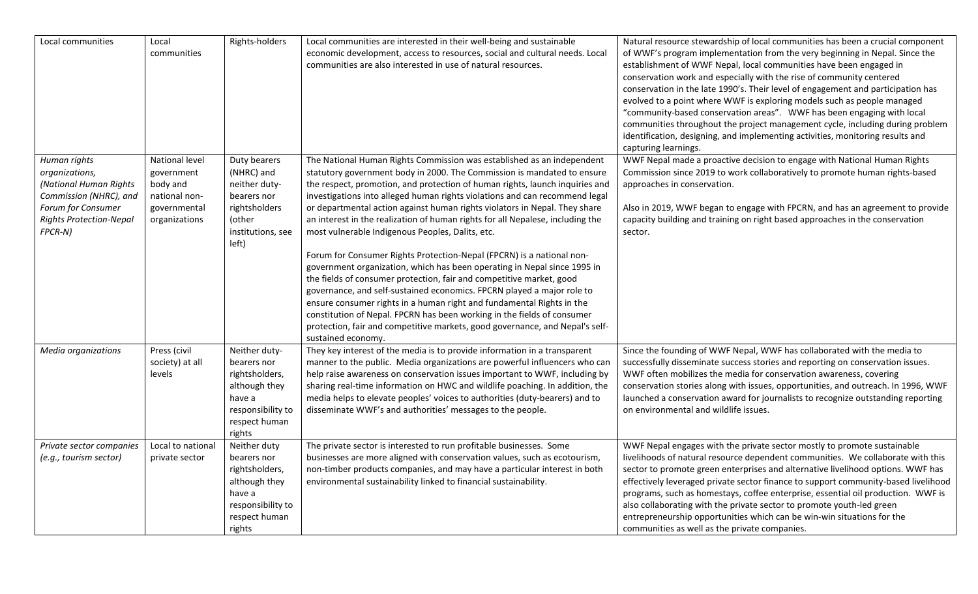| Local communities                                                                                                                                     | Local<br>communities                                                                       | Rights-holders                                                                                                            | Local communities are interested in their well-being and sustainable<br>economic development, access to resources, social and cultural needs. Local<br>communities are also interested in use of natural resources.                                                                                                                                                                                                                                                                                                                                                                                                                                                                                                                                                                                                                                                                                                                                                                                                                                                                                   | Natural resource stewardship of local communities has been a crucial component<br>of WWF's program implementation from the very beginning in Nepal. Since the<br>establishment of WWF Nepal, local communities have been engaged in<br>conservation work and especially with the rise of community centered<br>conservation in the late 1990's. Their level of engagement and participation has<br>evolved to a point where WWF is exploring models such as people managed<br>"community-based conservation areas". WWF has been engaging with local<br>communities throughout the project management cycle, including during problem<br>identification, designing, and implementing activities, monitoring results and<br>capturing learnings. |
|-------------------------------------------------------------------------------------------------------------------------------------------------------|--------------------------------------------------------------------------------------------|---------------------------------------------------------------------------------------------------------------------------|-------------------------------------------------------------------------------------------------------------------------------------------------------------------------------------------------------------------------------------------------------------------------------------------------------------------------------------------------------------------------------------------------------------------------------------------------------------------------------------------------------------------------------------------------------------------------------------------------------------------------------------------------------------------------------------------------------------------------------------------------------------------------------------------------------------------------------------------------------------------------------------------------------------------------------------------------------------------------------------------------------------------------------------------------------------------------------------------------------|-------------------------------------------------------------------------------------------------------------------------------------------------------------------------------------------------------------------------------------------------------------------------------------------------------------------------------------------------------------------------------------------------------------------------------------------------------------------------------------------------------------------------------------------------------------------------------------------------------------------------------------------------------------------------------------------------------------------------------------------------|
| Human rights<br>organizations,<br>(National Human Rights<br>Commission (NHRC), and<br>Forum for Consumer<br><b>Rights Protection-Nepal</b><br>FPCR-N) | National level<br>government<br>body and<br>national non-<br>governmental<br>organizations | Duty bearers<br>(NHRC) and<br>neither duty-<br>bearers nor<br>rightsholders<br>(other<br>institutions, see<br>left)       | The National Human Rights Commission was established as an independent<br>statutory government body in 2000. The Commission is mandated to ensure<br>the respect, promotion, and protection of human rights, launch inquiries and<br>investigations into alleged human rights violations and can recommend legal<br>or departmental action against human rights violators in Nepal. They share<br>an interest in the realization of human rights for all Nepalese, including the<br>most vulnerable Indigenous Peoples, Dalits, etc.<br>Forum for Consumer Rights Protection-Nepal (FPCRN) is a national non-<br>government organization, which has been operating in Nepal since 1995 in<br>the fields of consumer protection, fair and competitive market, good<br>governance, and self-sustained economics. FPCRN played a major role to<br>ensure consumer rights in a human right and fundamental Rights in the<br>constitution of Nepal. FPCRN has been working in the fields of consumer<br>protection, fair and competitive markets, good governance, and Nepal's self-<br>sustained economy. | WWF Nepal made a proactive decision to engage with National Human Rights<br>Commission since 2019 to work collaboratively to promote human rights-based<br>approaches in conservation.<br>Also in 2019, WWF began to engage with FPCRN, and has an agreement to provide<br>capacity building and training on right based approaches in the conservation<br>sector.                                                                                                                                                                                                                                                                                                                                                                              |
| Media organizations                                                                                                                                   | Press (civil<br>society) at all<br>levels                                                  | Neither duty-<br>bearers nor<br>rightsholders,<br>although they<br>have a<br>responsibility to<br>respect human<br>rights | They key interest of the media is to provide information in a transparent<br>manner to the public. Media organizations are powerful influencers who can<br>help raise awareness on conservation issues important to WWF, including by<br>sharing real-time information on HWC and wildlife poaching. In addition, the<br>media helps to elevate peoples' voices to authorities (duty-bearers) and to<br>disseminate WWF's and authorities' messages to the people.                                                                                                                                                                                                                                                                                                                                                                                                                                                                                                                                                                                                                                    | Since the founding of WWF Nepal, WWF has collaborated with the media to<br>successfully disseminate success stories and reporting on conservation issues.<br>WWF often mobilizes the media for conservation awareness, covering<br>conservation stories along with issues, opportunities, and outreach. In 1996, WWF<br>launched a conservation award for journalists to recognize outstanding reporting<br>on environmental and wildlife issues.                                                                                                                                                                                                                                                                                               |
| Private sector companies<br>(e.g., tourism sector)                                                                                                    | Local to national<br>private sector                                                        | Neither duty<br>bearers nor<br>rightsholders,<br>although they<br>have a<br>responsibility to<br>respect human<br>rights  | The private sector is interested to run profitable businesses. Some<br>businesses are more aligned with conservation values, such as ecotourism,<br>non-timber products companies, and may have a particular interest in both<br>environmental sustainability linked to financial sustainability.                                                                                                                                                                                                                                                                                                                                                                                                                                                                                                                                                                                                                                                                                                                                                                                                     | WWF Nepal engages with the private sector mostly to promote sustainable<br>livelihoods of natural resource dependent communities. We collaborate with this<br>sector to promote green enterprises and alternative livelihood options. WWF has<br>effectively leveraged private sector finance to support community-based livelihood<br>programs, such as homestays, coffee enterprise, essential oil production. WWF is<br>also collaborating with the private sector to promote youth-led green<br>entrepreneurship opportunities which can be win-win situations for the<br>communities as well as the private companies.                                                                                                                     |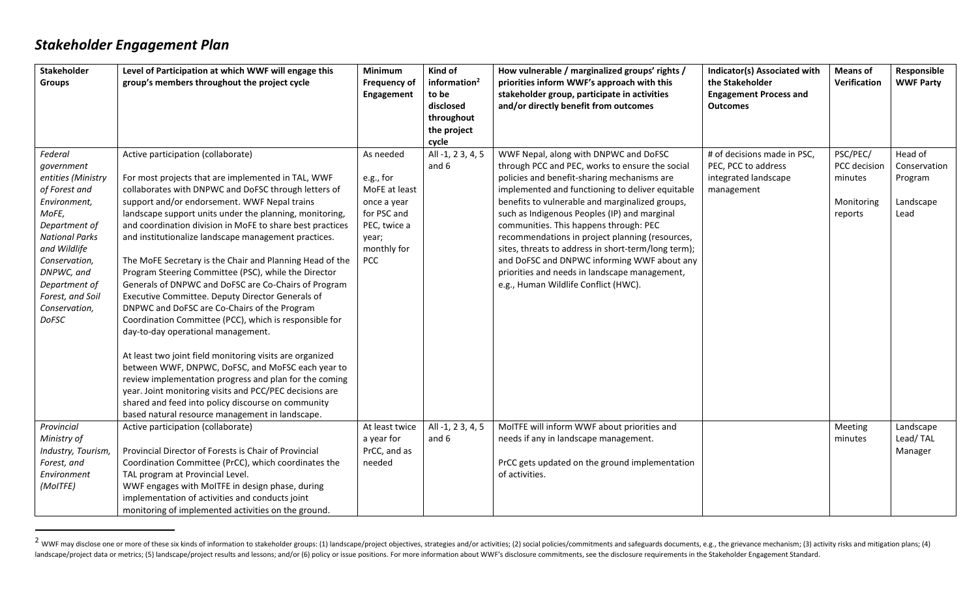# *Stakeholder Engagement Plan*

| Stakeholder<br><b>Groups</b>                                                                                                                                                                                                                         | Level of Participation at which WWF will engage this<br>group's members throughout the project cycle                                                                                                                                                                                                                                                                                                                                                                                                                                                                                                                                                                                                                                                                                                                                                                                                                                                                                                                                                                                                            | Minimum<br><b>Frequency of</b><br>Engagement                                                                                | Kind of<br>information <sup>2</sup><br>to be<br>disclosed<br>throughout | How vulnerable / marginalized groups' rights /<br>priorities inform WWF's approach with this<br>stakeholder group, participate in activities<br>and/or directly benefit from outcomes                                                                                                                                                                                                                                                                                                                                                                                                      | <b>Indicator(s) Associated with</b><br>the Stakeholder<br><b>Engagement Process and</b><br><b>Outcomes</b> | <b>Means of</b><br>Verification                              | Responsible<br><b>WWF Party</b>                         |
|------------------------------------------------------------------------------------------------------------------------------------------------------------------------------------------------------------------------------------------------------|-----------------------------------------------------------------------------------------------------------------------------------------------------------------------------------------------------------------------------------------------------------------------------------------------------------------------------------------------------------------------------------------------------------------------------------------------------------------------------------------------------------------------------------------------------------------------------------------------------------------------------------------------------------------------------------------------------------------------------------------------------------------------------------------------------------------------------------------------------------------------------------------------------------------------------------------------------------------------------------------------------------------------------------------------------------------------------------------------------------------|-----------------------------------------------------------------------------------------------------------------------------|-------------------------------------------------------------------------|--------------------------------------------------------------------------------------------------------------------------------------------------------------------------------------------------------------------------------------------------------------------------------------------------------------------------------------------------------------------------------------------------------------------------------------------------------------------------------------------------------------------------------------------------------------------------------------------|------------------------------------------------------------------------------------------------------------|--------------------------------------------------------------|---------------------------------------------------------|
|                                                                                                                                                                                                                                                      |                                                                                                                                                                                                                                                                                                                                                                                                                                                                                                                                                                                                                                                                                                                                                                                                                                                                                                                                                                                                                                                                                                                 |                                                                                                                             | the project<br>cycle                                                    |                                                                                                                                                                                                                                                                                                                                                                                                                                                                                                                                                                                            |                                                                                                            |                                                              |                                                         |
| Federal<br>government<br>entities (Ministry<br>of Forest and<br>Environment,<br>MoFE,<br>Department of<br><b>National Parks</b><br>and Wildlife<br>Conservation,<br>DNPWC, and<br>Department of<br>Forest, and Soil<br>Conservation,<br><b>DoFSC</b> | Active participation (collaborate)<br>For most projects that are implemented in TAL, WWF<br>collaborates with DNPWC and DoFSC through letters of<br>support and/or endorsement. WWF Nepal trains<br>landscape support units under the planning, monitoring,<br>and coordination division in MoFE to share best practices<br>and institutionalize landscape management practices.<br>The MoFE Secretary is the Chair and Planning Head of the<br>Program Steering Committee (PSC), while the Director<br>Generals of DNPWC and DoFSC are Co-Chairs of Program<br>Executive Committee. Deputy Director Generals of<br>DNPWC and DoFSC are Co-Chairs of the Program<br>Coordination Committee (PCC), which is responsible for<br>day-to-day operational management.<br>At least two joint field monitoring visits are organized<br>between WWF, DNPWC, DoFSC, and MoFSC each year to<br>review implementation progress and plan for the coming<br>year. Joint monitoring visits and PCC/PEC decisions are<br>shared and feed into policy discourse on community<br>based natural resource management in landscape. | As needed<br>e.g., for<br>MoFE at least<br>once a year<br>for PSC and<br>PEC, twice a<br>year;<br>monthly for<br><b>PCC</b> | All -1, 2 3, 4, 5<br>and 6                                              | WWF Nepal, along with DNPWC and DoFSC<br>through PCC and PEC, works to ensure the social<br>policies and benefit-sharing mechanisms are<br>implemented and functioning to deliver equitable<br>benefits to vulnerable and marginalized groups,<br>such as Indigenous Peoples (IP) and marginal<br>communities. This happens through: PEC<br>recommendations in project planning (resources,<br>sites, threats to address in short-term/long term);<br>and DoFSC and DNPWC informing WWF about any<br>priorities and needs in landscape management,<br>e.g., Human Wildlife Conflict (HWC). | # of decisions made in PSC,<br>PEC, PCC to address<br>integrated landscape<br>management                   | PSC/PEC/<br>PCC decision<br>minutes<br>Monitoring<br>reports | Head of<br>Conservation<br>Program<br>Landscape<br>Lead |
| Provincial<br>Ministry of<br>Industry, Tourism,<br>Forest, and<br>Environment<br>(MoITFE)                                                                                                                                                            | Active participation (collaborate)<br>Provincial Director of Forests is Chair of Provincial<br>Coordination Committee (PrCC), which coordinates the<br>TAL program at Provincial Level.<br>WWF engages with MoITFE in design phase, during<br>implementation of activities and conducts joint<br>monitoring of implemented activities on the ground.                                                                                                                                                                                                                                                                                                                                                                                                                                                                                                                                                                                                                                                                                                                                                            | At least twice<br>a year for<br>PrCC, and as<br>needed                                                                      | All -1, 2 3, 4, 5<br>and 6                                              | MoITFE will inform WWF about priorities and<br>needs if any in landscape management.<br>PrCC gets updated on the ground implementation<br>of activities.                                                                                                                                                                                                                                                                                                                                                                                                                                   |                                                                                                            | Meeting<br>minutes                                           | Landscape<br>Lead/TAL<br>Manager                        |

<sup>&</sup>lt;sup>2</sup> WWF may disclose one or more of these six kinds of information to stakeholder groups: (1) landscape/project objectives, strategies and/or activities; (2) social policies/commitments and safeguards documents, e.g., the landscape/project data or metrics; (5) landscape/project results and lessons; and/or (6) policy or issue positions. For more information about WWF's disclosure commitments, see the disclosure requirements in the Stakeholde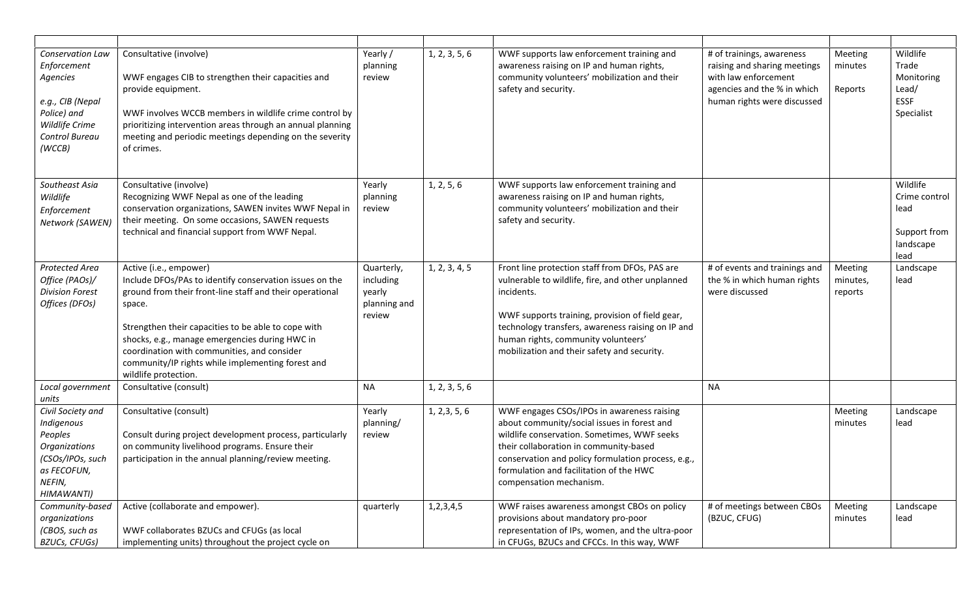| Conservation Law<br>Enforcement<br>Agencies<br>e.g., CIB (Nepal<br>Police) and<br>Wildlife Crime<br>Control Bureau<br>(WCCB) | Consultative (involve)<br>WWF engages CIB to strengthen their capacities and<br>provide equipment.<br>WWF involves WCCB members in wildlife crime control by<br>prioritizing intervention areas through an annual planning<br>meeting and periodic meetings depending on the severity<br>of crimes.                                                                                          | Yearly /<br>planning<br>review                              | 1, 2, 3, 5, 6 | WWF supports law enforcement training and<br>awareness raising on IP and human rights,<br>community volunteers' mobilization and their<br>safety and security.                                                                                                                                                  | # of trainings, awareness<br>raising and sharing meetings<br>with law enforcement<br>agencies and the % in which<br>human rights were discussed | Meeting<br>minutes<br>Reports  | Wildlife<br>Trade<br>Monitoring<br>Lead/<br><b>ESSF</b><br>Specialist  |
|------------------------------------------------------------------------------------------------------------------------------|----------------------------------------------------------------------------------------------------------------------------------------------------------------------------------------------------------------------------------------------------------------------------------------------------------------------------------------------------------------------------------------------|-------------------------------------------------------------|---------------|-----------------------------------------------------------------------------------------------------------------------------------------------------------------------------------------------------------------------------------------------------------------------------------------------------------------|-------------------------------------------------------------------------------------------------------------------------------------------------|--------------------------------|------------------------------------------------------------------------|
| Southeast Asia<br>Wildlife<br>Enforcement<br>Network (SAWEN)                                                                 | Consultative (involve)<br>Recognizing WWF Nepal as one of the leading<br>conservation organizations, SAWEN invites WWF Nepal in<br>their meeting. On some occasions, SAWEN requests<br>technical and financial support from WWF Nepal.                                                                                                                                                       | Yearly<br>planning<br>review                                | 1, 2, 5, 6    | WWF supports law enforcement training and<br>awareness raising on IP and human rights,<br>community volunteers' mobilization and their<br>safety and security.                                                                                                                                                  |                                                                                                                                                 |                                | Wildlife<br>Crime control<br>lead<br>Support from<br>landscape<br>lead |
| Protected Area<br>Office (PAOs)/<br><b>Division Forest</b><br>Offices (DFOs)                                                 | Active (i.e., empower)<br>Include DFOs/PAs to identify conservation issues on the<br>ground from their front-line staff and their operational<br>space.<br>Strengthen their capacities to be able to cope with<br>shocks, e.g., manage emergencies during HWC in<br>coordination with communities, and consider<br>community/IP rights while implementing forest and<br>wildlife protection. | Quarterly,<br>including<br>yearly<br>planning and<br>review | 1, 2, 3, 4, 5 | Front line protection staff from DFOs, PAS are<br>vulnerable to wildlife, fire, and other unplanned<br>incidents.<br>WWF supports training, provision of field gear,<br>technology transfers, awareness raising on IP and<br>human rights, community volunteers'<br>mobilization and their safety and security. | # of events and trainings and<br>the % in which human rights<br>were discussed                                                                  | Meeting<br>minutes,<br>reports | Landscape<br>lead                                                      |
| Local government<br>units                                                                                                    | Consultative (consult)                                                                                                                                                                                                                                                                                                                                                                       | <b>NA</b>                                                   | 1, 2, 3, 5, 6 |                                                                                                                                                                                                                                                                                                                 | <b>NA</b>                                                                                                                                       |                                |                                                                        |
| Civil Society and<br>Indigenous<br>Peoples<br>Organizations<br>(CSOs/IPOs, such<br>as FECOFUN,<br>NEFIN,<br>HIMAWANTI)       | Consultative (consult)<br>Consult during project development process, particularly<br>on community livelihood programs. Ensure their<br>participation in the annual planning/review meeting.                                                                                                                                                                                                 | Yearly<br>planning/<br>review                               | 1, 2, 3, 5, 6 | WWF engages CSOs/IPOs in awareness raising<br>about community/social issues in forest and<br>wildlife conservation. Sometimes, WWF seeks<br>their collaboration in community-based<br>conservation and policy formulation process, e.g.,<br>formulation and facilitation of the HWC<br>compensation mechanism.  |                                                                                                                                                 | Meeting<br>minutes             | Landscape<br>lead                                                      |
| Community-based<br>organizations<br>(CBOS, such as<br><b>BZUCs, CFUGs)</b>                                                   | Active (collaborate and empower).<br>WWF collaborates BZUCs and CFUGs (as local<br>implementing units) throughout the project cycle on                                                                                                                                                                                                                                                       | quarterly                                                   | 1, 2, 3, 4, 5 | WWF raises awareness amongst CBOs on policy<br>provisions about mandatory pro-poor<br>representation of IPs, women, and the ultra-poor<br>in CFUGs, BZUCs and CFCCs. In this way, WWF                                                                                                                           | # of meetings between CBOs<br>(BZUC, CFUG)                                                                                                      | Meeting<br>minutes             | Landscape<br>lead                                                      |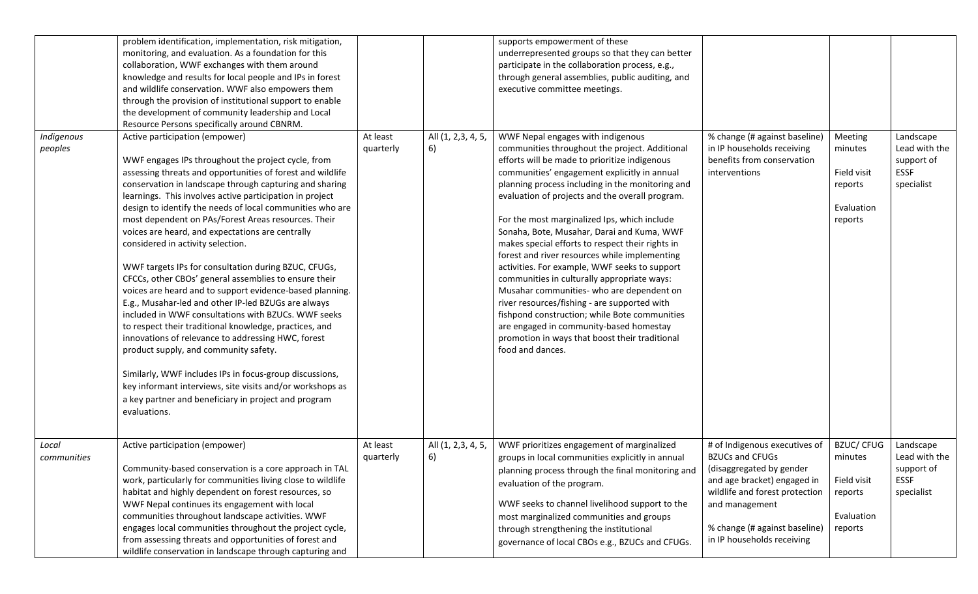|                       | problem identification, implementation, risk mitigation,<br>monitoring, and evaluation. As a foundation for this                                                                                                                                                                                                                                                                                                                                                                                                                                                                                                                                                                                                                                                                                                                                                                                                                                                                                                                                                                                                                           |                       |                          | supports empowerment of these<br>underrepresented groups so that they can better                                                                                                                                                                                                                                                                                                                                                                                                                                                                                                                                                                                                                                                                                                                                                                              |                                                                                                                                                                        |                                                                       |                                                                       |
|-----------------------|--------------------------------------------------------------------------------------------------------------------------------------------------------------------------------------------------------------------------------------------------------------------------------------------------------------------------------------------------------------------------------------------------------------------------------------------------------------------------------------------------------------------------------------------------------------------------------------------------------------------------------------------------------------------------------------------------------------------------------------------------------------------------------------------------------------------------------------------------------------------------------------------------------------------------------------------------------------------------------------------------------------------------------------------------------------------------------------------------------------------------------------------|-----------------------|--------------------------|---------------------------------------------------------------------------------------------------------------------------------------------------------------------------------------------------------------------------------------------------------------------------------------------------------------------------------------------------------------------------------------------------------------------------------------------------------------------------------------------------------------------------------------------------------------------------------------------------------------------------------------------------------------------------------------------------------------------------------------------------------------------------------------------------------------------------------------------------------------|------------------------------------------------------------------------------------------------------------------------------------------------------------------------|-----------------------------------------------------------------------|-----------------------------------------------------------------------|
|                       | collaboration, WWF exchanges with them around<br>knowledge and results for local people and IPs in forest<br>and wildlife conservation. WWF also empowers them                                                                                                                                                                                                                                                                                                                                                                                                                                                                                                                                                                                                                                                                                                                                                                                                                                                                                                                                                                             |                       |                          | participate in the collaboration process, e.g.,<br>through general assemblies, public auditing, and<br>executive committee meetings.                                                                                                                                                                                                                                                                                                                                                                                                                                                                                                                                                                                                                                                                                                                          |                                                                                                                                                                        |                                                                       |                                                                       |
|                       | through the provision of institutional support to enable<br>the development of community leadership and Local<br>Resource Persons specifically around CBNRM.                                                                                                                                                                                                                                                                                                                                                                                                                                                                                                                                                                                                                                                                                                                                                                                                                                                                                                                                                                               |                       |                          |                                                                                                                                                                                                                                                                                                                                                                                                                                                                                                                                                                                                                                                                                                                                                                                                                                                               |                                                                                                                                                                        |                                                                       |                                                                       |
| Indigenous<br>peoples | Active participation (empower)<br>WWF engages IPs throughout the project cycle, from<br>assessing threats and opportunities of forest and wildlife<br>conservation in landscape through capturing and sharing<br>learnings. This involves active participation in project<br>design to identify the needs of local communities who are<br>most dependent on PAs/Forest Areas resources. Their<br>voices are heard, and expectations are centrally<br>considered in activity selection.<br>WWF targets IPs for consultation during BZUC, CFUGs,<br>CFCCs, other CBOs' general assemblies to ensure their<br>voices are heard and to support evidence-based planning.<br>E.g., Musahar-led and other IP-led BZUGs are always<br>included in WWF consultations with BZUCs. WWF seeks<br>to respect their traditional knowledge, practices, and<br>innovations of relevance to addressing HWC, forest<br>product supply, and community safety.<br>Similarly, WWF includes IPs in focus-group discussions,<br>key informant interviews, site visits and/or workshops as<br>a key partner and beneficiary in project and program<br>evaluations. | At least<br>quarterly | All (1, 2,3, 4, 5,<br>6) | WWF Nepal engages with indigenous<br>communities throughout the project. Additional<br>efforts will be made to prioritize indigenous<br>communities' engagement explicitly in annual<br>planning process including in the monitoring and<br>evaluation of projects and the overall program.<br>For the most marginalized Ips, which include<br>Sonaha, Bote, Musahar, Darai and Kuma, WWF<br>makes special efforts to respect their rights in<br>forest and river resources while implementing<br>activities. For example, WWF seeks to support<br>communities in culturally appropriate ways:<br>Musahar communities- who are dependent on<br>river resources/fishing - are supported with<br>fishpond construction; while Bote communities<br>are engaged in community-based homestay<br>promotion in ways that boost their traditional<br>food and dances. | % change (# against baseline)<br>in IP households receiving<br>benefits from conservation<br>interventions                                                             | Meeting<br>minutes<br>Field visit<br>reports<br>Evaluation<br>reports | Landscape<br>Lead with the<br>support of<br><b>ESSF</b><br>specialist |
| Local<br>communities  | Active participation (empower)<br>Community-based conservation is a core approach in TAL<br>work, particularly for communities living close to wildlife<br>habitat and highly dependent on forest resources, so<br>WWF Nepal continues its engagement with local                                                                                                                                                                                                                                                                                                                                                                                                                                                                                                                                                                                                                                                                                                                                                                                                                                                                           | At least<br>quarterly | All (1, 2,3, 4, 5,<br>6) | WWF prioritizes engagement of marginalized<br>groups in local communities explicitly in annual<br>planning process through the final monitoring and<br>evaluation of the program.<br>WWF seeks to channel livelihood support to the                                                                                                                                                                                                                                                                                                                                                                                                                                                                                                                                                                                                                           | # of Indigenous executives of<br><b>BZUCs and CFUGs</b><br>(disaggregated by gender<br>and age bracket) engaged in<br>wildlife and forest protection<br>and management | <b>BZUC/CFUG</b><br>minutes<br>Field visit<br>reports                 | Landscape<br>Lead with the<br>support of<br><b>ESSF</b><br>specialist |
|                       | communities throughout landscape activities. WWF<br>engages local communities throughout the project cycle,<br>from assessing threats and opportunities of forest and<br>wildlife conservation in landscape through capturing and                                                                                                                                                                                                                                                                                                                                                                                                                                                                                                                                                                                                                                                                                                                                                                                                                                                                                                          |                       |                          | most marginalized communities and groups<br>through strengthening the institutional<br>governance of local CBOs e.g., BZUCs and CFUGs.                                                                                                                                                                                                                                                                                                                                                                                                                                                                                                                                                                                                                                                                                                                        | % change (# against baseline)<br>in IP households receiving                                                                                                            | Evaluation<br>reports                                                 |                                                                       |